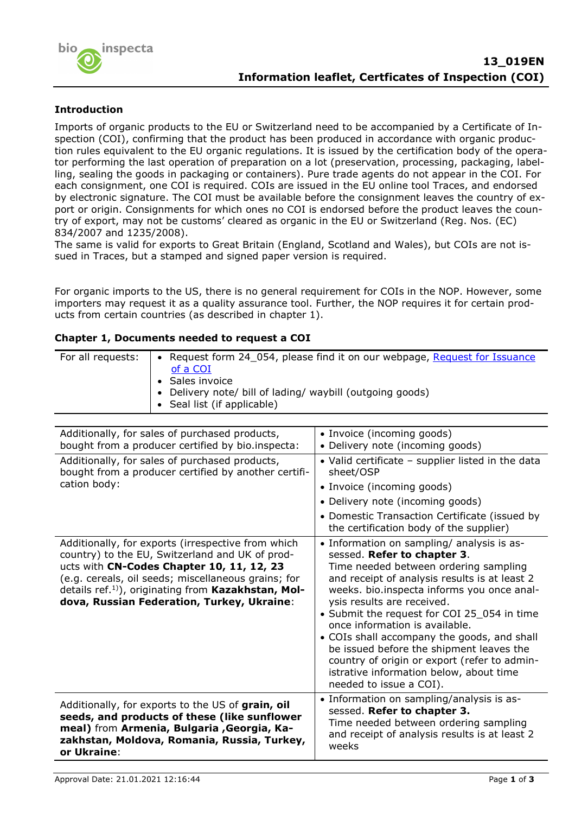

# **Introduction**

Imports of organic products to the EU or Switzerland need to be accompanied by a Certificate of Inspection (COI), confirming that the product has been produced in accordance with organic production rules equivalent to the EU organic regulations. It is issued by the certification body of the operator performing the last operation of preparation on a lot (preservation, processing, packaging, labelling, sealing the goods in packaging or containers). Pure trade agents do not appear in the COI. For each consignment, one COI is required. COIs are issued in the EU online tool Traces, and endorsed by electronic signature. The COI must be available before the consignment leaves the country of export or origin. Consignments for which ones no COI is endorsed before the product leaves the country of export, may not be customs' cleared as organic in the EU or Switzerland (Reg. Nos. (EC) 834/2007 and 1235/2008).

The same is valid for exports to Great Britain (England, Scotland and Wales), but COIs are not issued in Traces, but a stamped and signed paper version is required.

For organic imports to the US, there is no general requirement for COIs in the NOP. However, some importers may request it as a quality assurance tool. Further, the NOP requires it for certain products from certain countries (as described in chapter 1).

## **Chapter 1, Documents needed to request a COI**

| • Request form 24_054, please find it on our webpage, Request for Issuance |
|----------------------------------------------------------------------------|
| <u>of a COI</u>                                                            |
| • Sales invoice                                                            |
| • Delivery note/ bill of lading/ waybill (outgoing goods)                  |
| • Seal list (if applicable)                                                |
|                                                                            |

| Additionally, for sales of purchased products,<br>bought from a producer certified by bio.inspecta:                                                                                                                                                                                                                       | • Invoice (incoming goods)<br>• Delivery note (incoming goods)                                                                                                                                                                                                                                                                                                                                                                                                                                                                                    |
|---------------------------------------------------------------------------------------------------------------------------------------------------------------------------------------------------------------------------------------------------------------------------------------------------------------------------|---------------------------------------------------------------------------------------------------------------------------------------------------------------------------------------------------------------------------------------------------------------------------------------------------------------------------------------------------------------------------------------------------------------------------------------------------------------------------------------------------------------------------------------------------|
| Additionally, for sales of purchased products,<br>bought from a producer certified by another certifi-                                                                                                                                                                                                                    | • Valid certificate - supplier listed in the data<br>sheet/OSP                                                                                                                                                                                                                                                                                                                                                                                                                                                                                    |
| cation body:                                                                                                                                                                                                                                                                                                              | • Invoice (incoming goods)                                                                                                                                                                                                                                                                                                                                                                                                                                                                                                                        |
|                                                                                                                                                                                                                                                                                                                           | • Delivery note (incoming goods)                                                                                                                                                                                                                                                                                                                                                                                                                                                                                                                  |
|                                                                                                                                                                                                                                                                                                                           | • Domestic Transaction Certificate (issued by<br>the certification body of the supplier)                                                                                                                                                                                                                                                                                                                                                                                                                                                          |
| Additionally, for exports (irrespective from which<br>country) to the EU, Switzerland and UK of prod-<br>ucts with CN-Codes Chapter 10, 11, 12, 23<br>(e.g. cereals, oil seeds; miscellaneous grains; for<br>details ref. <sup>1)</sup> , originating from Kazakhstan, Mol-<br>dova, Russian Federation, Turkey, Ukraine: | • Information on sampling/ analysis is as-<br>sessed. Refer to chapter 3.<br>Time needed between ordering sampling<br>and receipt of analysis results is at least 2<br>weeks. bio.inspecta informs you once anal-<br>ysis results are received.<br>• Submit the request for COI 25_054 in time<br>once information is available.<br>• COIs shall accompany the goods, and shall<br>be issued before the shipment leaves the<br>country of origin or export (refer to admin-<br>istrative information below, about time<br>needed to issue a COI). |
| Additionally, for exports to the US of grain, oil<br>seeds, and products of these (like sunflower<br>meal) from Armenia, Bulgaria , Georgia, Ka-<br>zakhstan, Moldova, Romania, Russia, Turkey,<br>or Ukraine:                                                                                                            | • Information on sampling/analysis is as-<br>sessed. Refer to chapter 3.<br>Time needed between ordering sampling<br>and receipt of analysis results is at least 2<br>weeks                                                                                                                                                                                                                                                                                                                                                                       |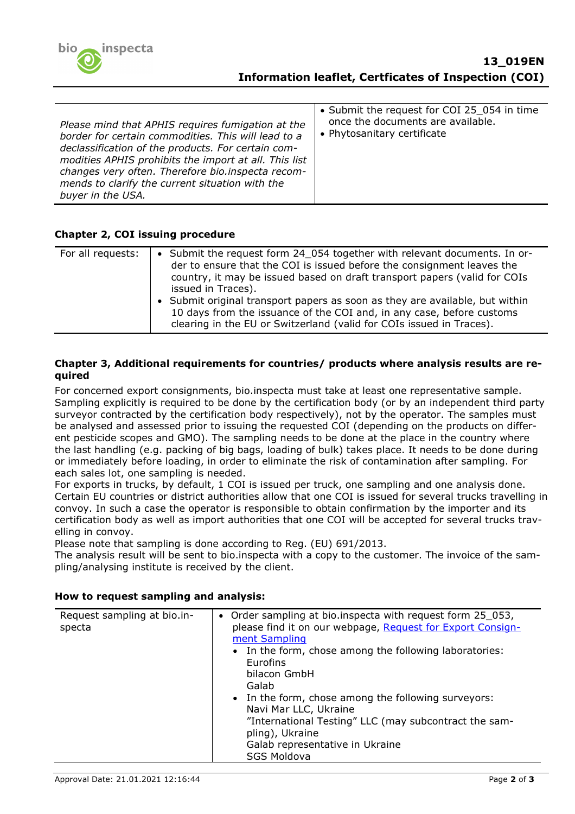

## **Chapter 2, COI issuing procedure**

| For all requests: | • Submit the request form 24 054 together with relevant documents. In or-<br>der to ensure that the COI is issued before the consignment leaves the<br>country, it may be issued based on draft transport papers (valid for COIs<br>issued in Traces). |
|-------------------|--------------------------------------------------------------------------------------------------------------------------------------------------------------------------------------------------------------------------------------------------------|
|                   | • Submit original transport papers as soon as they are available, but within<br>10 days from the issuance of the COI and, in any case, before customs<br>clearing in the EU or Switzerland (valid for COIs issued in Traces).                          |

### **Chapter 3, Additional requirements for countries/ products where analysis results are required**

For concerned export consignments, bio.inspecta must take at least one representative sample. Sampling explicitly is required to be done by the certification body (or by an independent third party surveyor contracted by the certification body respectively), not by the operator. The samples must be analysed and assessed prior to issuing the requested COI (depending on the products on different pesticide scopes and GMO). The sampling needs to be done at the place in the country where the last handling (e.g. packing of big bags, loading of bulk) takes place. It needs to be done during or immediately before loading, in order to eliminate the risk of contamination after sampling. For each sales lot, one sampling is needed.

For exports in trucks, by default, 1 COI is issued per truck, one sampling and one analysis done. Certain EU countries or district authorities allow that one COI is issued for several trucks travelling in convoy. In such a case the operator is responsible to obtain confirmation by the importer and its certification body as well as import authorities that one COI will be accepted for several trucks travelling in convoy.

Please note that sampling is done according to Reg. (EU) 691/2013.

The analysis result will be sent to bio.inspecta with a copy to the customer. The invoice of the sampling/analysing institute is received by the client.

| Request sampling at bio.in-<br>specta | • Order sampling at bio.inspecta with request form 25_053,<br>please find it on our webpage, Request for Export Consign-<br>ment Sampling<br>• In the form, chose among the following laboratories:<br><b>Eurofins</b><br>bilacon GmbH<br>Galab<br>• In the form, chose among the following surveyors:<br>Navi Mar LLC, Ukraine<br>"International Testing" LLC (may subcontract the sam-<br>pling), Ukraine<br>Galab representative in Ukraine |
|---------------------------------------|------------------------------------------------------------------------------------------------------------------------------------------------------------------------------------------------------------------------------------------------------------------------------------------------------------------------------------------------------------------------------------------------------------------------------------------------|
|                                       | <b>SGS Moldova</b>                                                                                                                                                                                                                                                                                                                                                                                                                             |

#### **How to request sampling and analysis:**